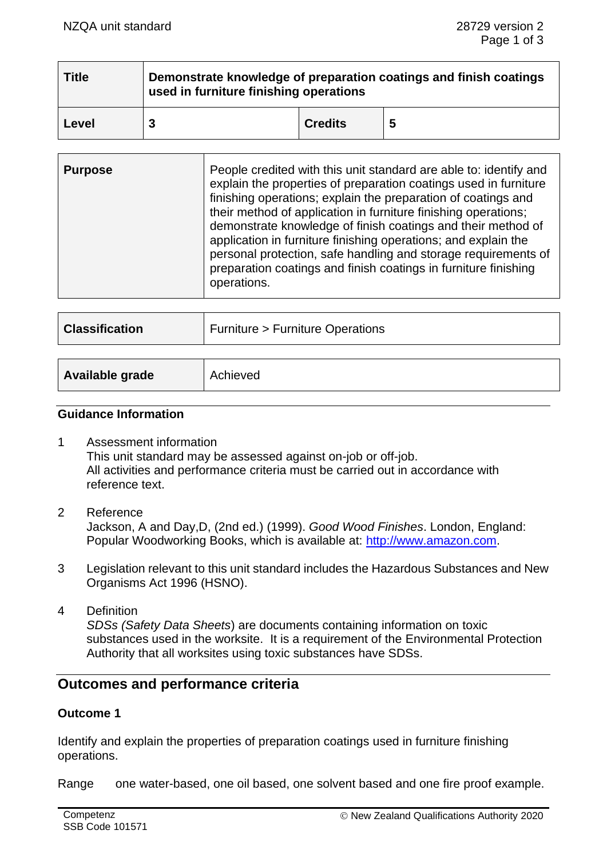| <b>Title</b> | Demonstrate knowledge of preparation coatings and finish coatings<br>used in furniture finishing operations |                |   |  |
|--------------|-------------------------------------------------------------------------------------------------------------|----------------|---|--|
| Level        |                                                                                                             | <b>Credits</b> | 5 |  |

| <b>Classification</b> | <b>Furniture &gt; Furniture Operations</b> |  |
|-----------------------|--------------------------------------------|--|
|                       |                                            |  |
| Available grade       | Achieved                                   |  |

#### **Guidance Information**

- 1 Assessment information This unit standard may be assessed against on-job or off-job. All activities and performance criteria must be carried out in accordance with reference text.
- 2 Reference

Jackson, A and Day,D, (2nd ed.) (1999). *Good Wood Finishes*. London, England: Popular Woodworking Books, which is available at: [http://www.amazon.com.](http://www.amazon.com/)

- 3 Legislation relevant to this unit standard includes the Hazardous Substances and New Organisms Act 1996 (HSNO).
- 4 Definition *SDSs (Safety Data Sheets*) are documents containing information on toxic substances used in the worksite. It is a requirement of the Environmental Protection Authority that all worksites using toxic substances have SDSs.

# **Outcomes and performance criteria**

## **Outcome 1**

Identify and explain the properties of preparation coatings used in furniture finishing operations.

Range one water-based, one oil based, one solvent based and one fire proof example.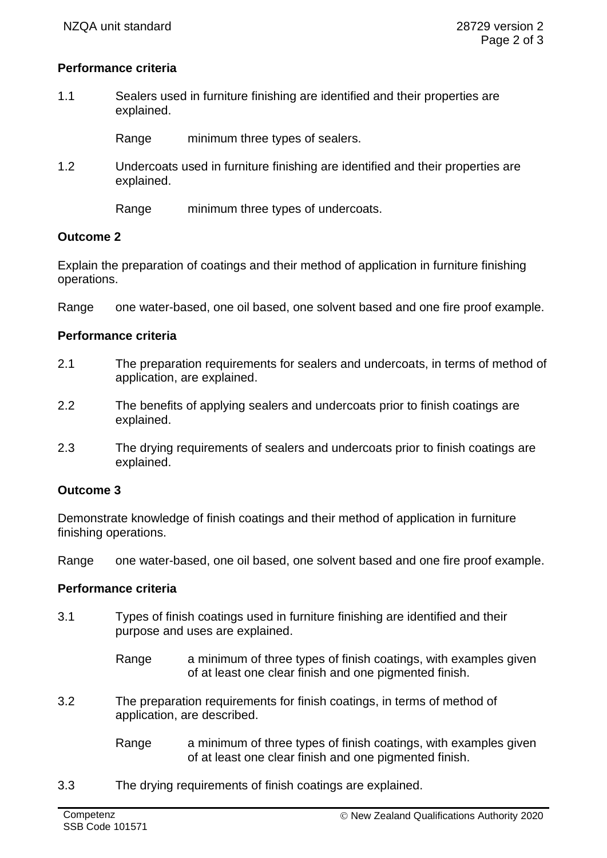## **Performance criteria**

1.1 Sealers used in furniture finishing are identified and their properties are explained.

Range minimum three types of sealers.

- 1.2 Undercoats used in furniture finishing are identified and their properties are explained.
	- Range minimum three types of undercoats.

### **Outcome 2**

Explain the preparation of coatings and their method of application in furniture finishing operations.

Range one water-based, one oil based, one solvent based and one fire proof example.

### **Performance criteria**

- 2.1 The preparation requirements for sealers and undercoats, in terms of method of application, are explained.
- 2.2 The benefits of applying sealers and undercoats prior to finish coatings are explained.
- 2.3 The drying requirements of sealers and undercoats prior to finish coatings are explained.

#### **Outcome 3**

Demonstrate knowledge of finish coatings and their method of application in furniture finishing operations.

Range one water-based, one oil based, one solvent based and one fire proof example.

## **Performance criteria**

- 3.1 Types of finish coatings used in furniture finishing are identified and their purpose and uses are explained.
	- Range a minimum of three types of finish coatings, with examples given of at least one clear finish and one pigmented finish.
- 3.2 The preparation requirements for finish coatings, in terms of method of application, are described.
	- Range a minimum of three types of finish coatings, with examples given of at least one clear finish and one pigmented finish.
- 3.3 The drying requirements of finish coatings are explained.